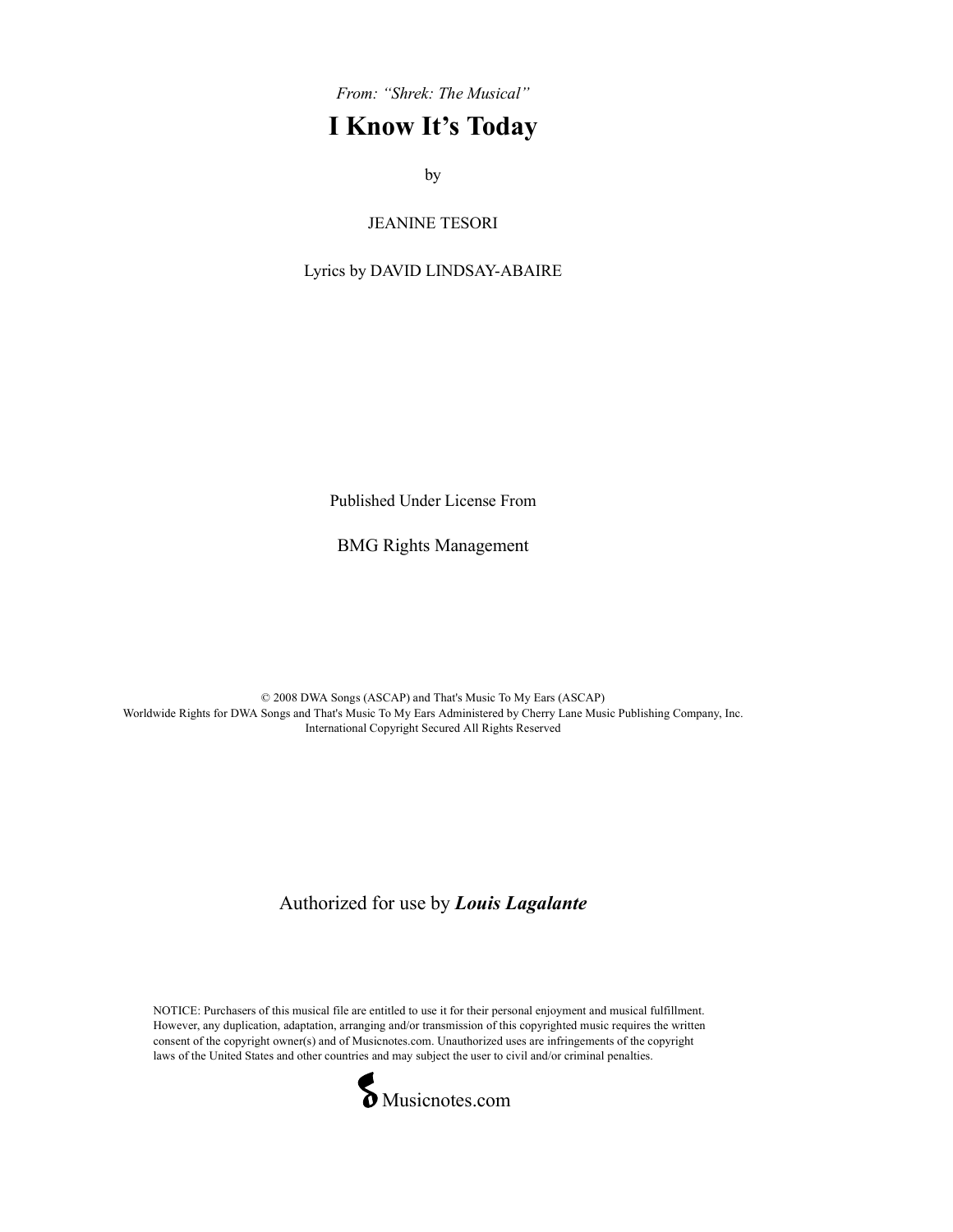From: "Shrek: The Musical"

## I Know It's Today

by the contract of the contract of the contract of the contract of the contract of the contract of the contract of the contract of the contract of the contract of the contract of the contract of the contract of the contrac

JEANINE TESORI

Lyrics by DAVID LINDSAY-ABAIRE

Published Under License From

BMG Rights Management

© 2008 DWA Songs (ASCAP) and That's Music To My Ears (ASCAP) Worldwide Rights for DWA Songs and That's Music To My Ears Administered by Cherry Lane Music Publishing Company, Inc. International Copyright Secured All Rights Reserved

Authorized for use by Louis Lagalante

NOTICE: Purchasers of this musical file are entitled to use it for their personal enjoyment and musical fulfillment. However, any duplication, adaptation, arranging and/or transmission of this copyrighted music requires the written consent of the copyright owner(s) and of Musicnotes.com. Unauthorized uses are infringements of the copyright laws of the United States and other countries and may subject the user to civil and/or criminal penalties.

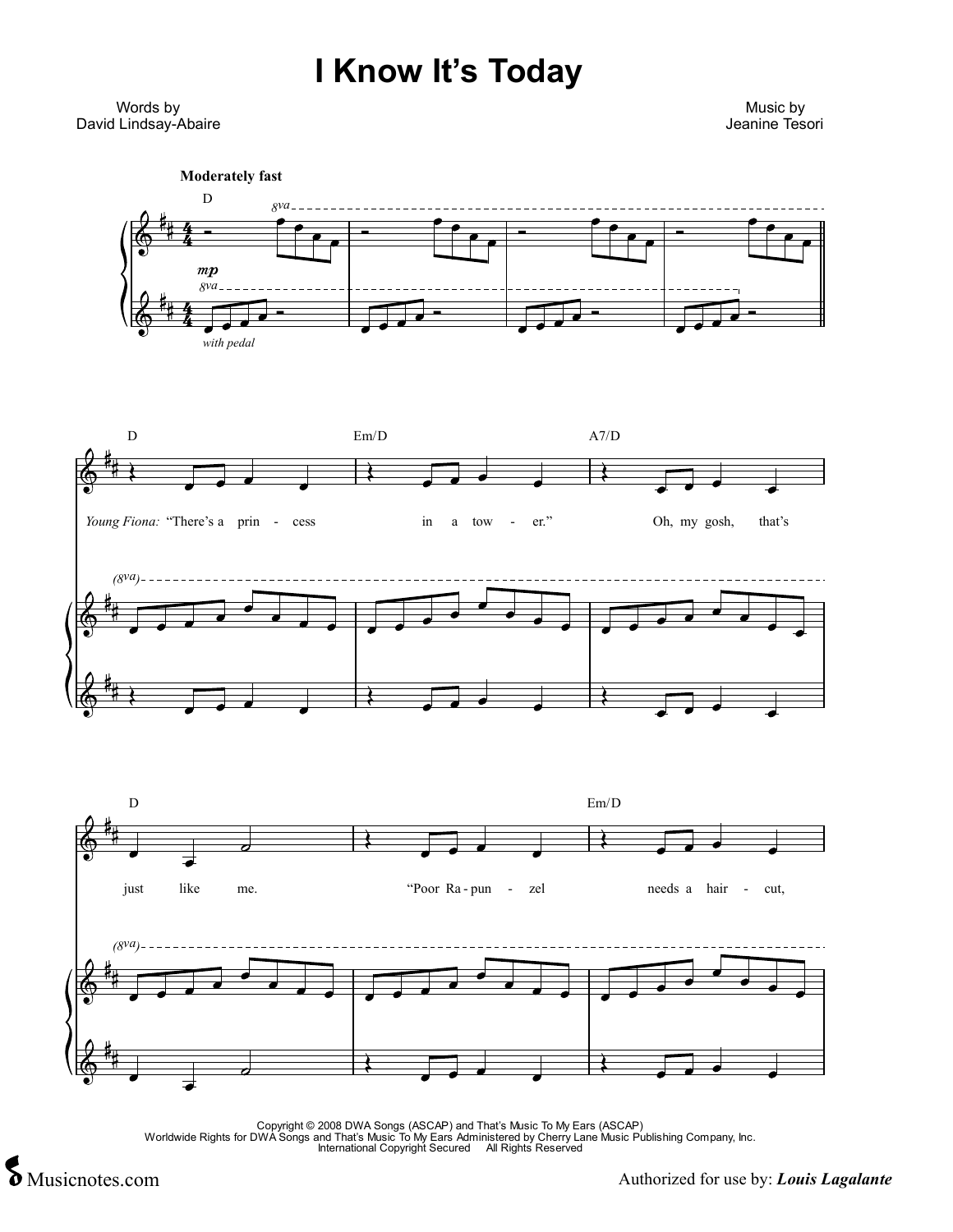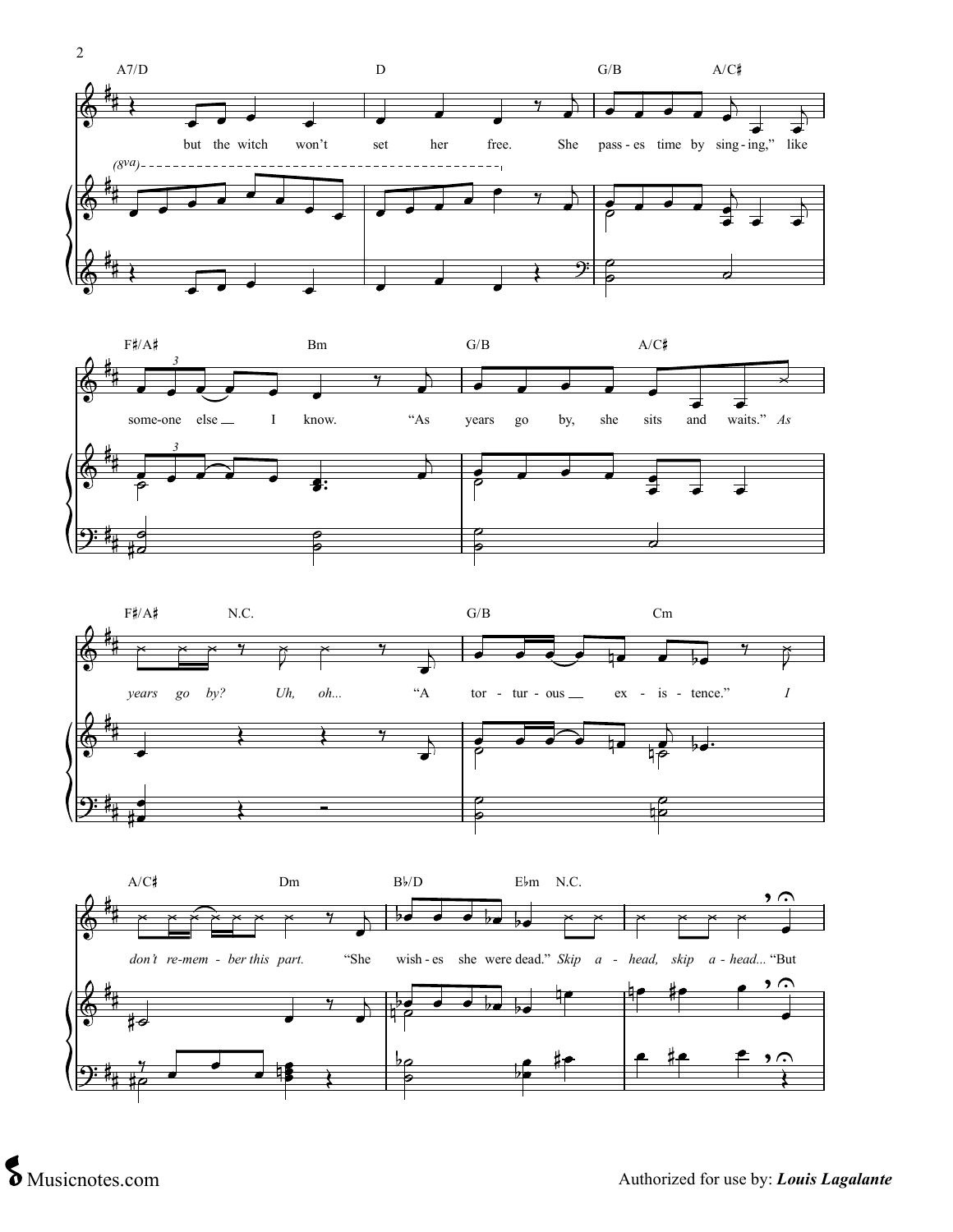





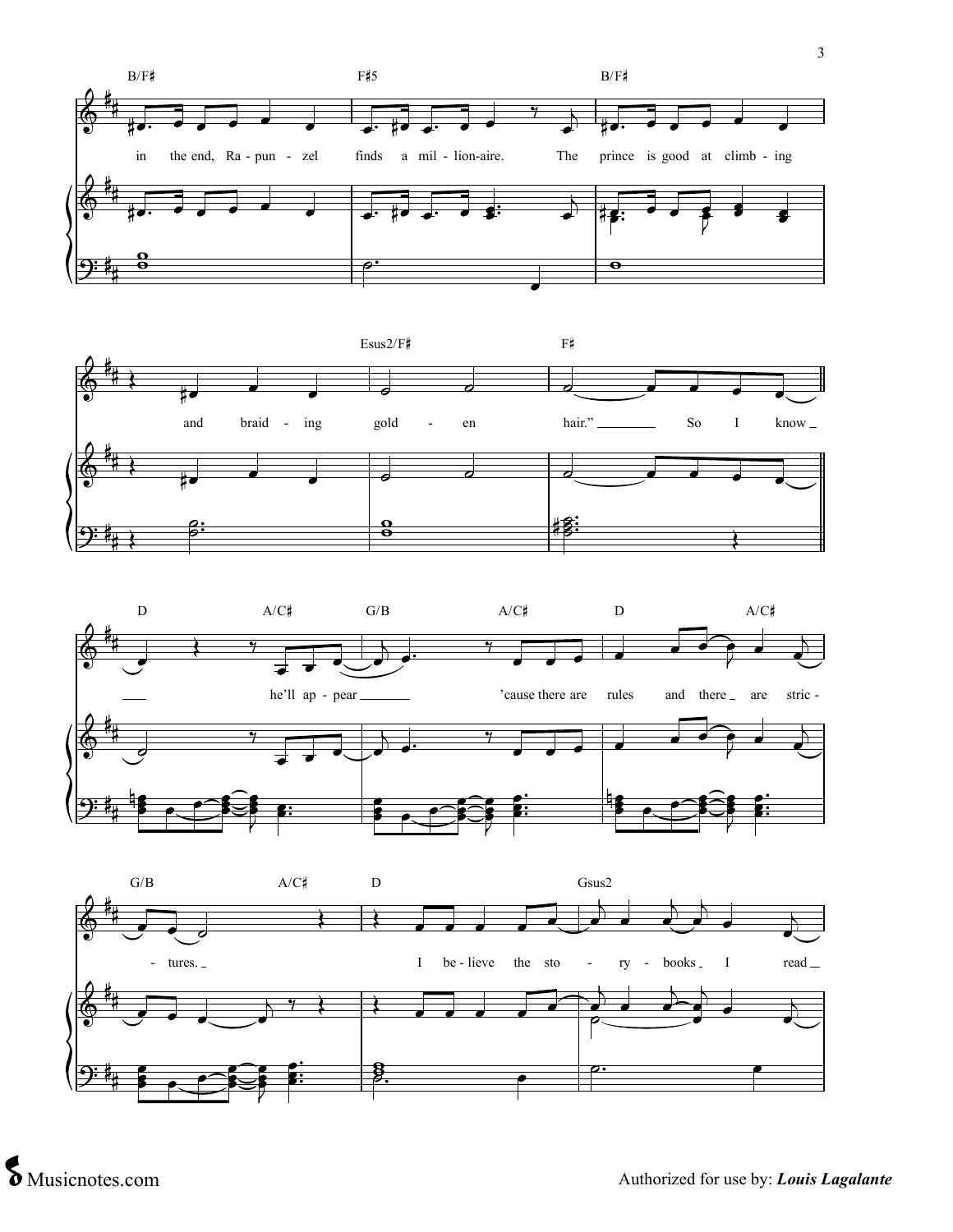





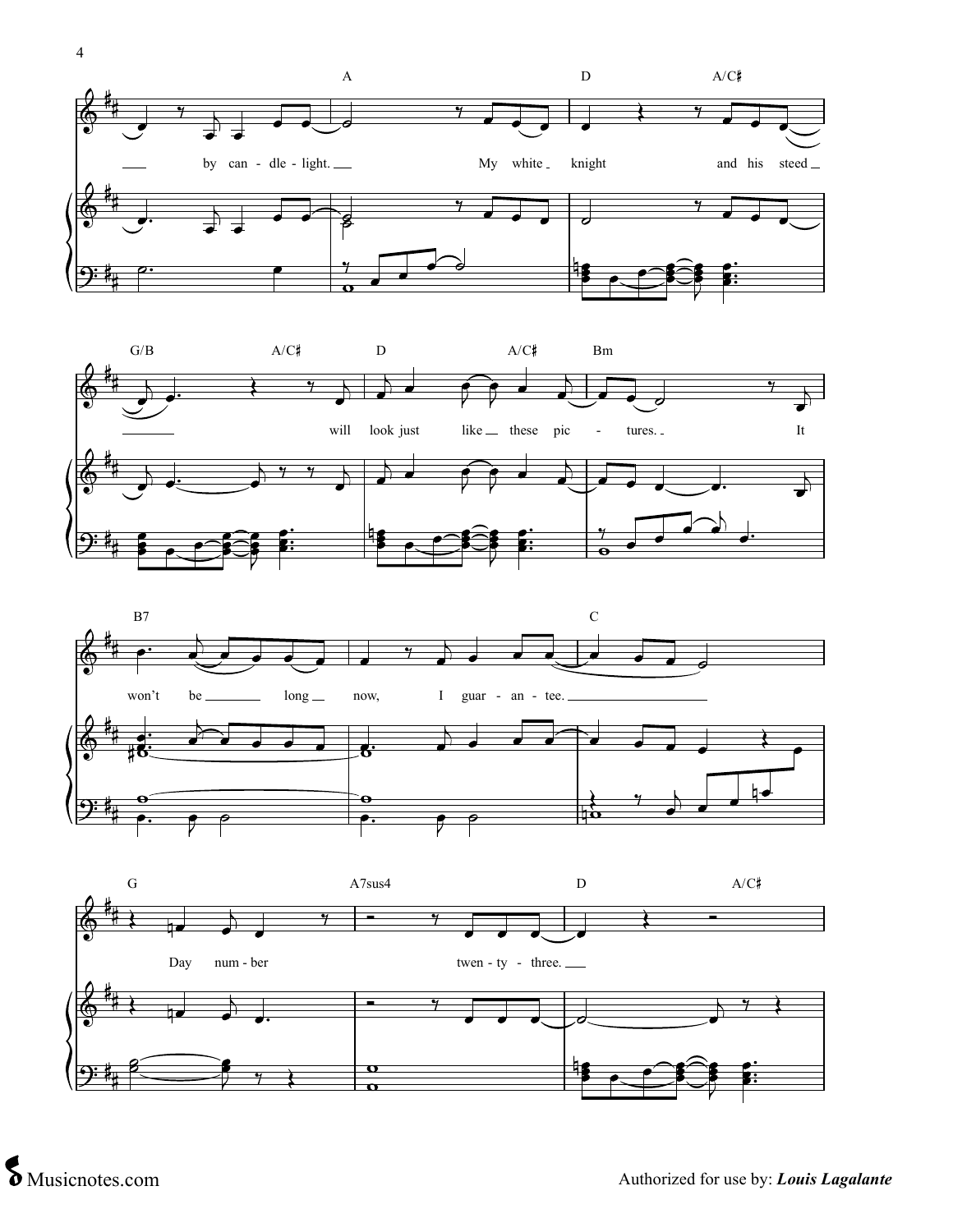





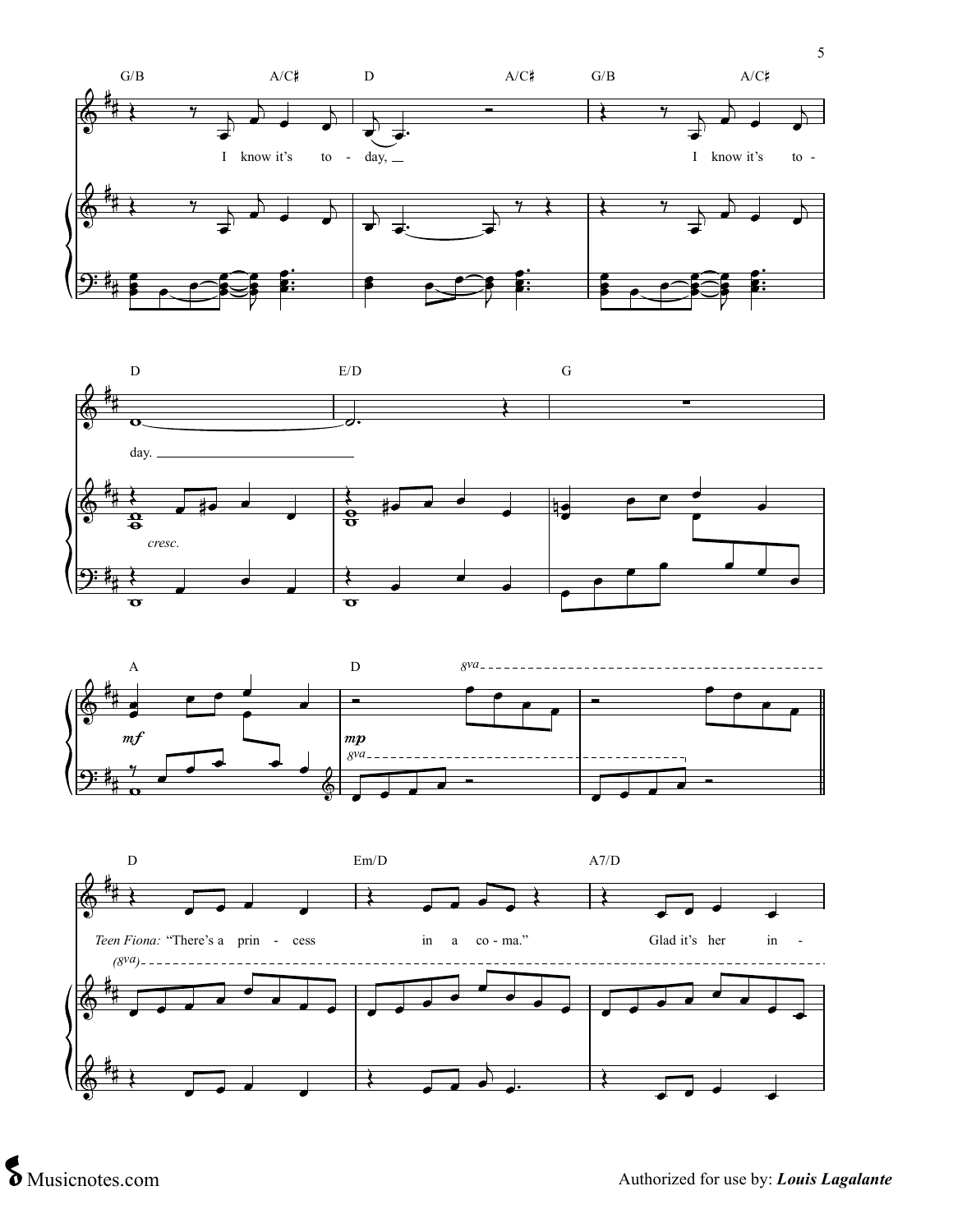





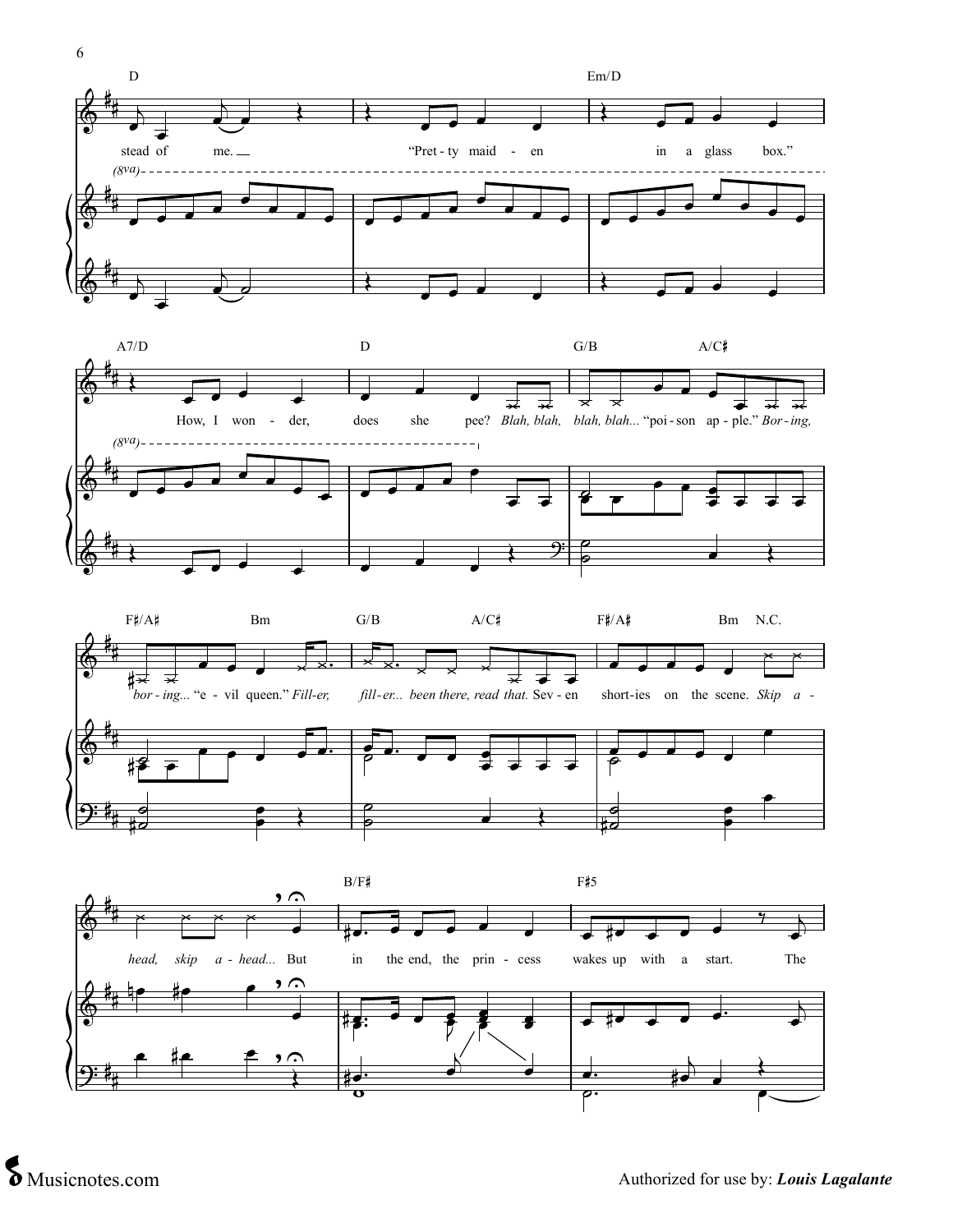





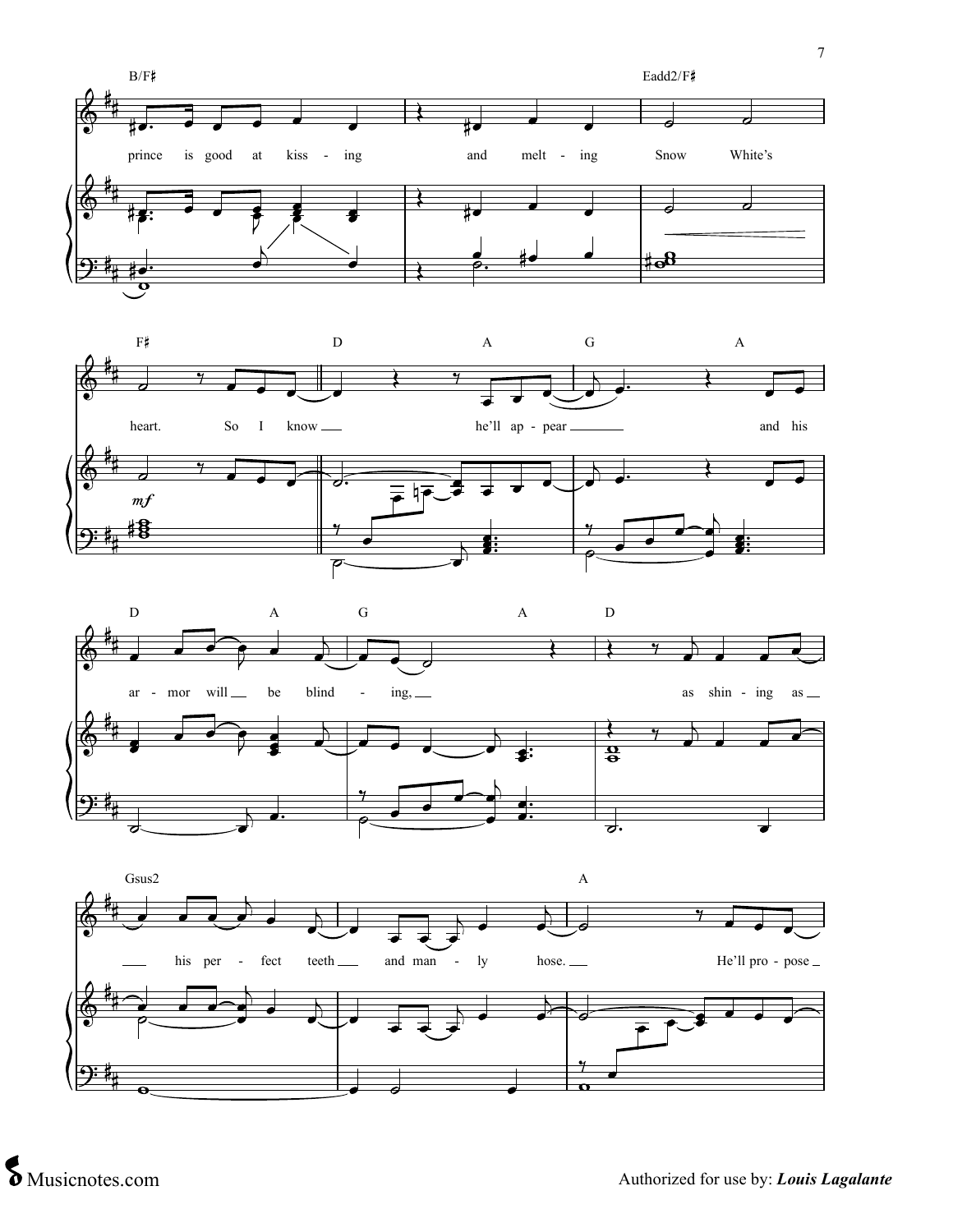





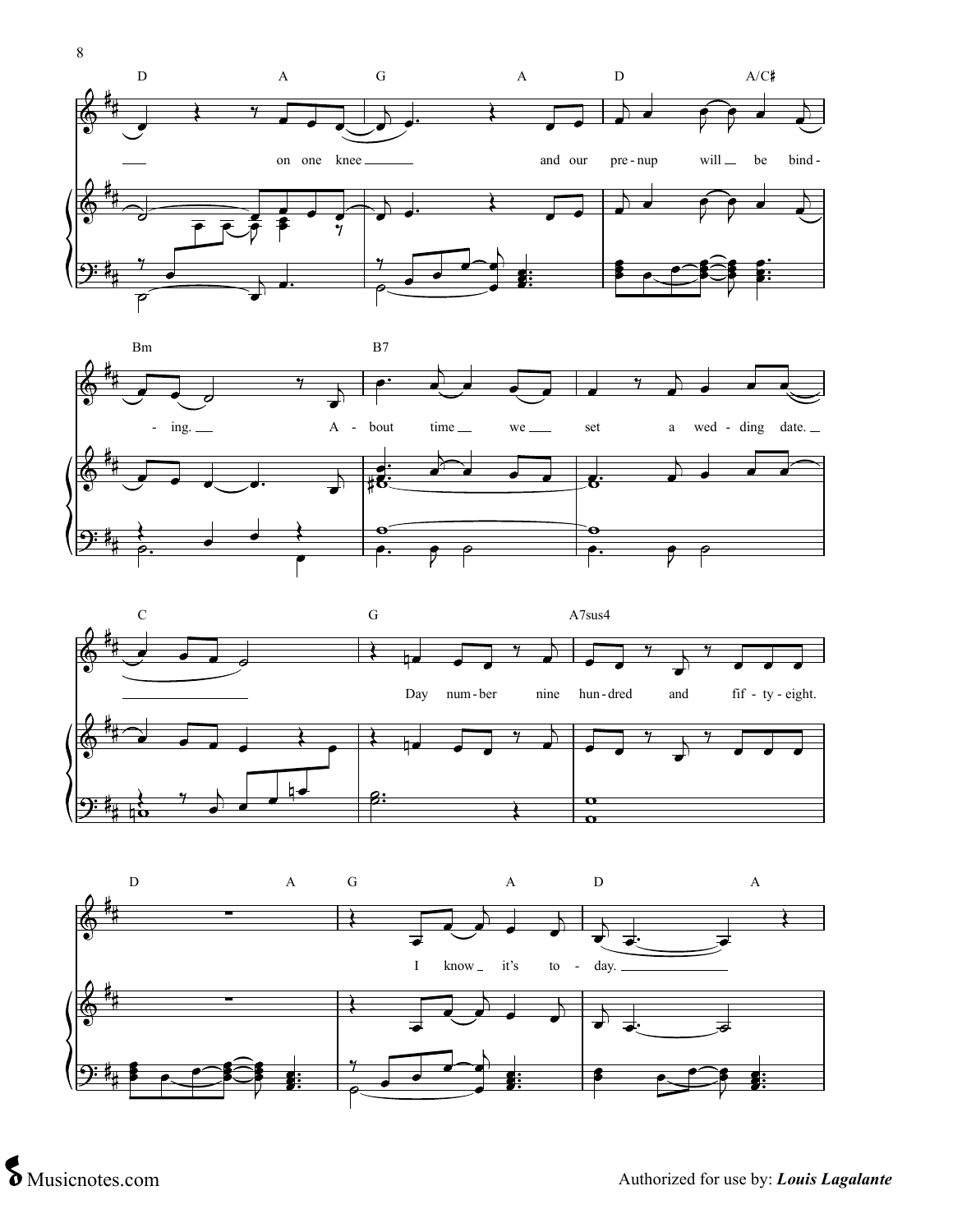





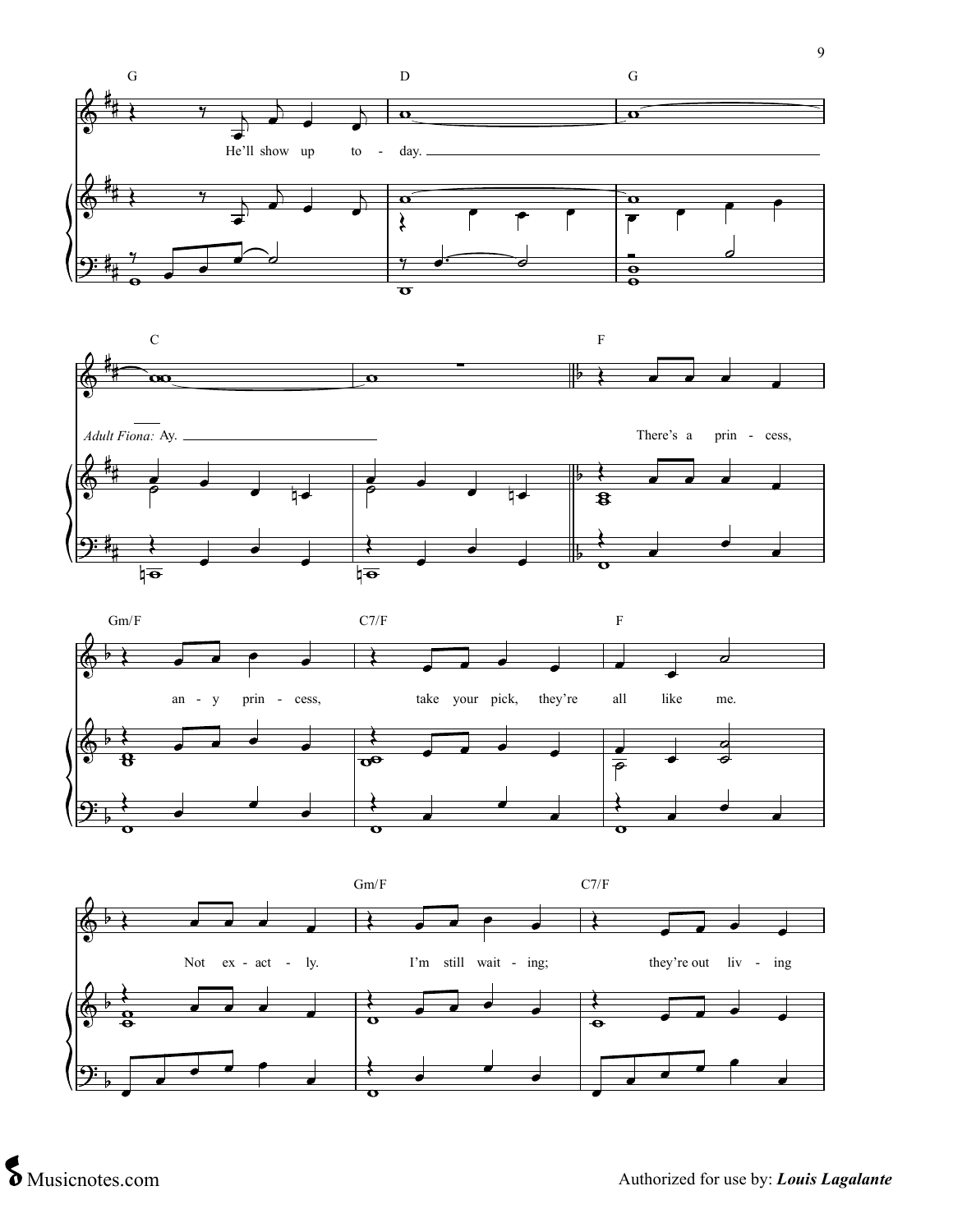





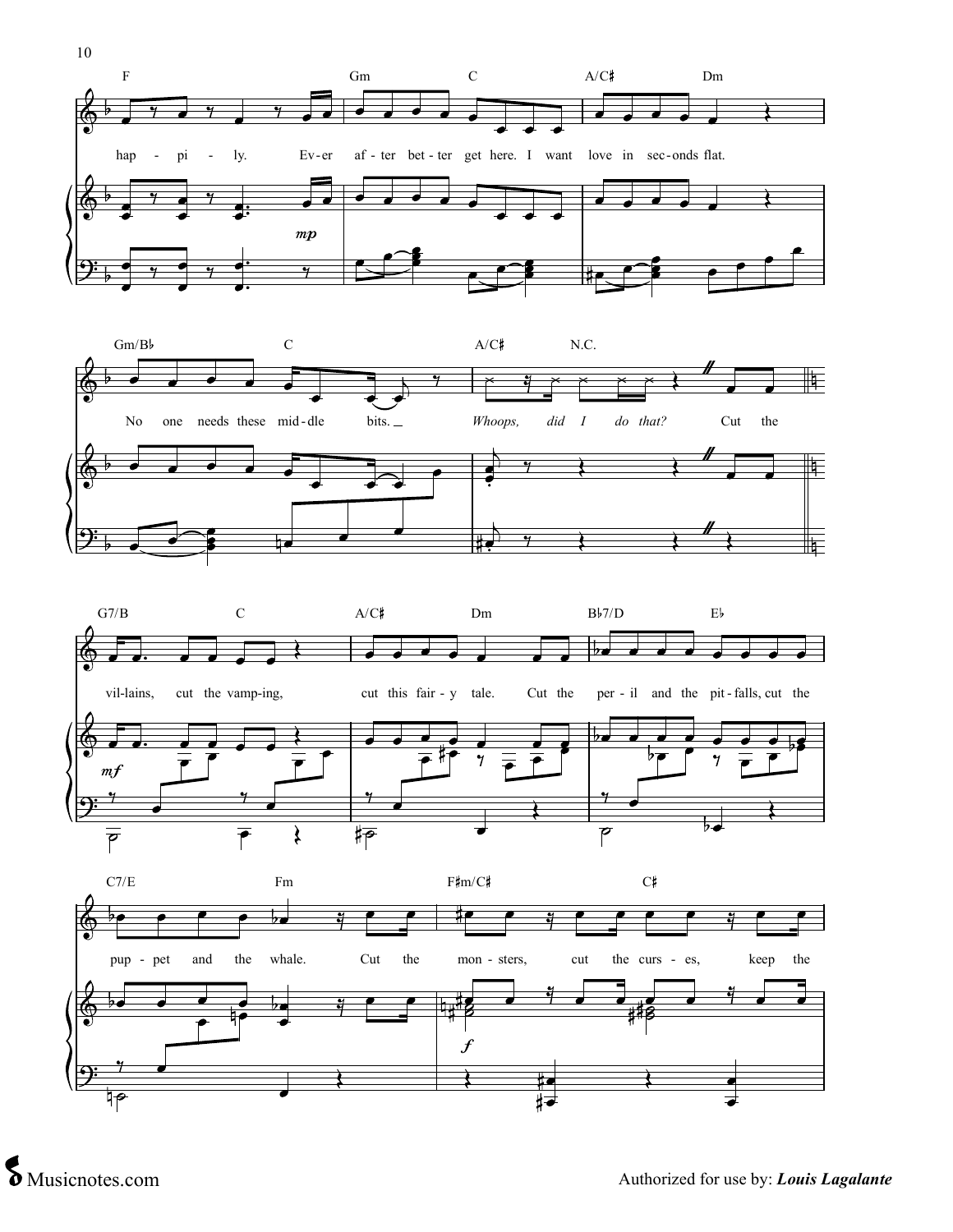





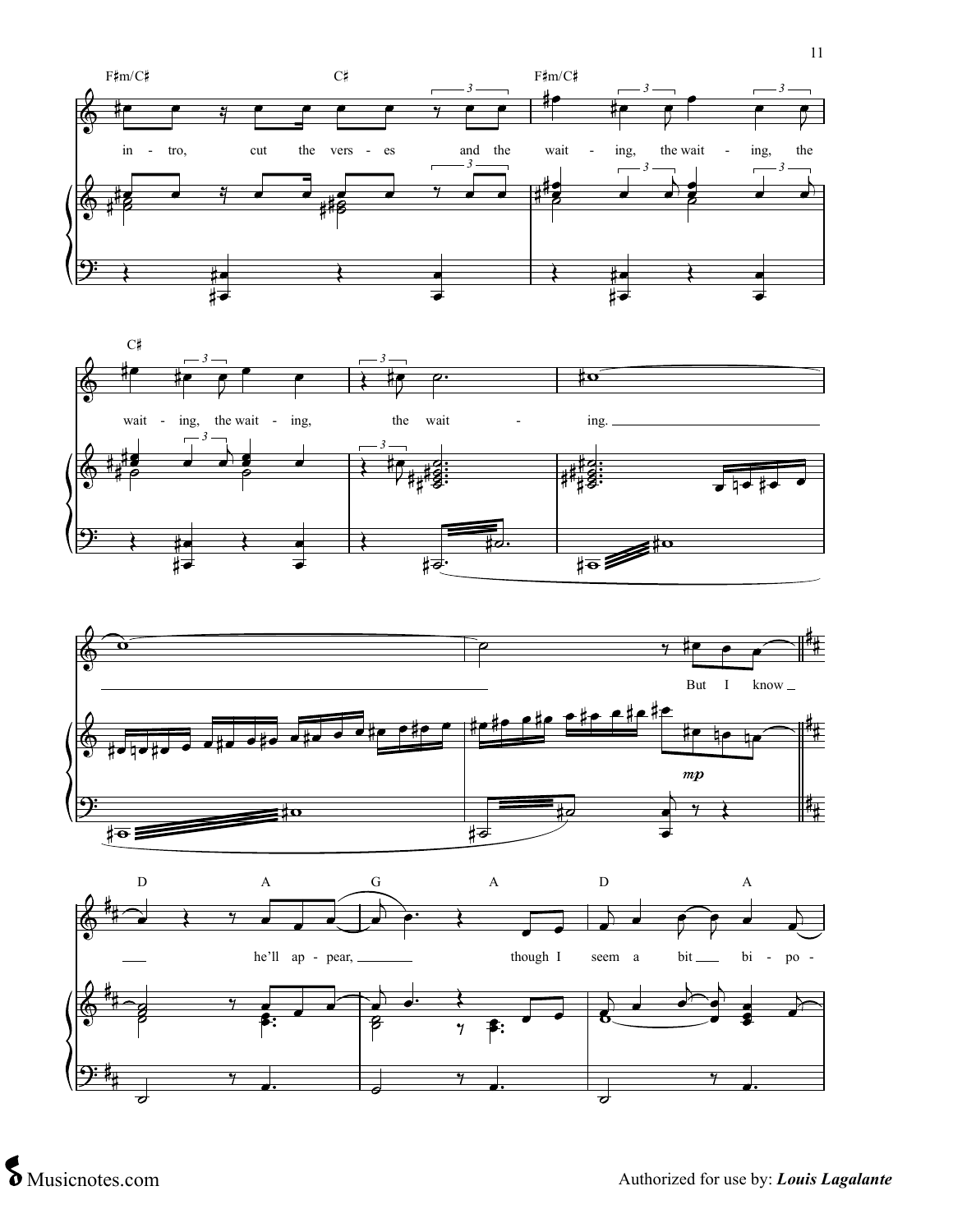





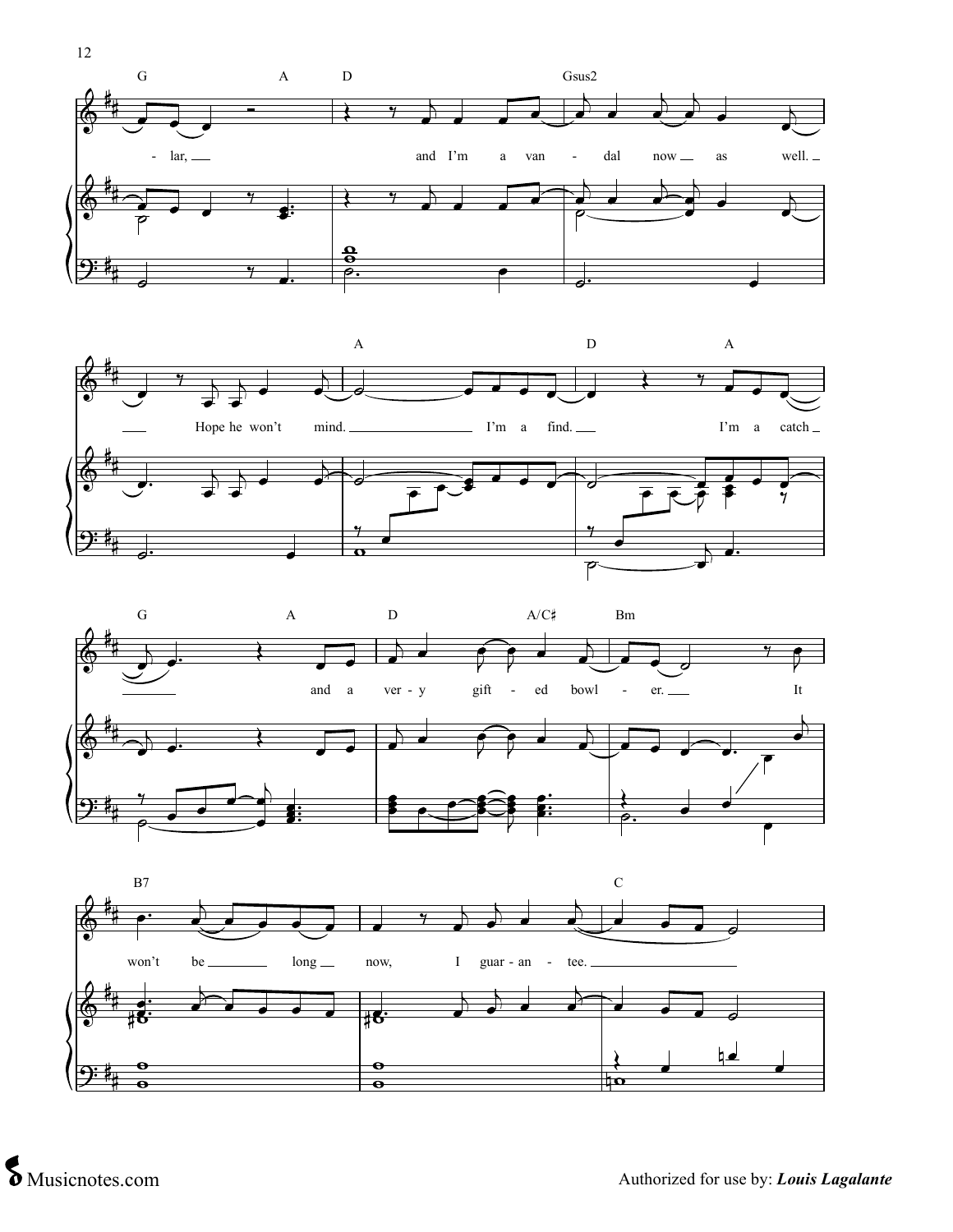





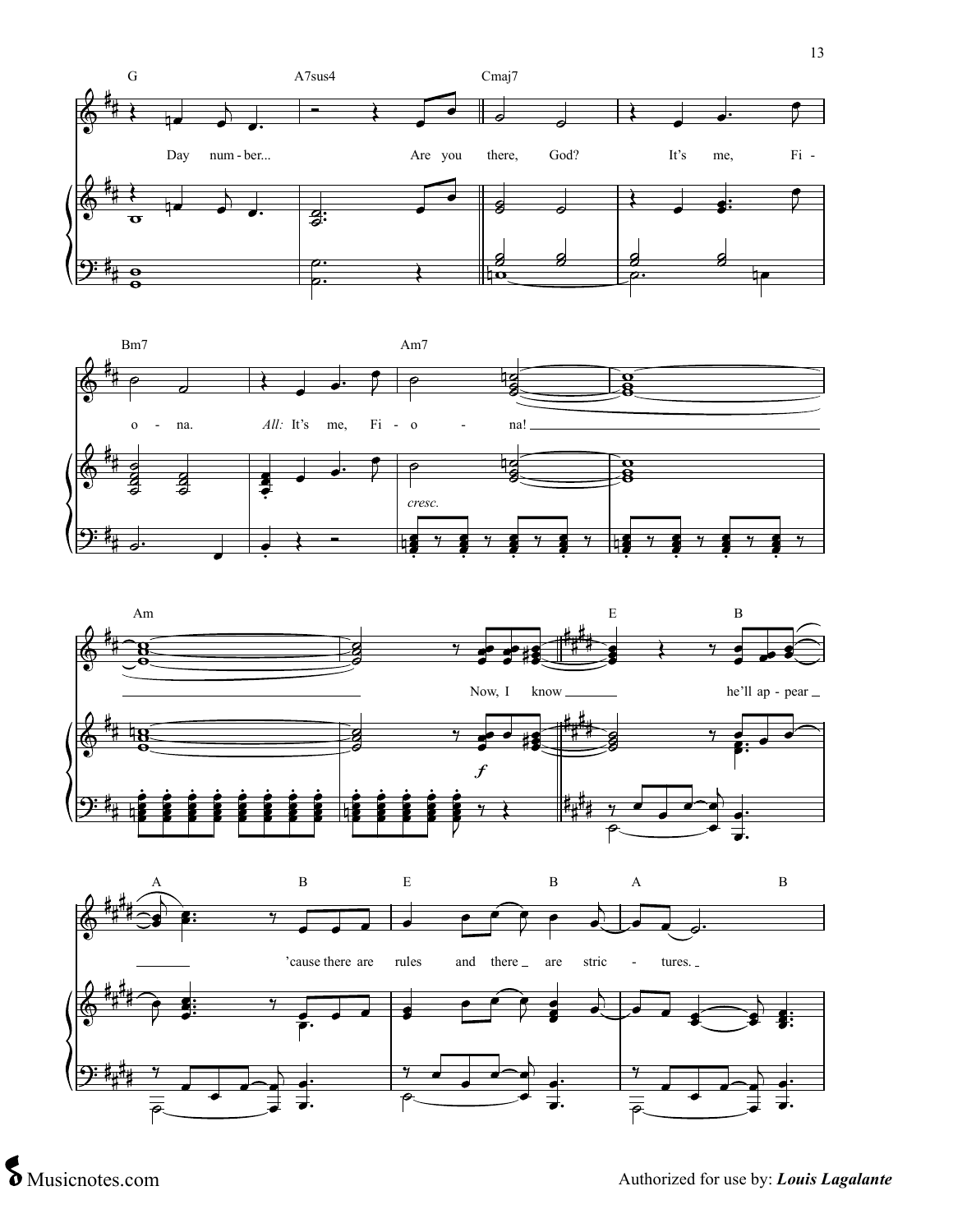





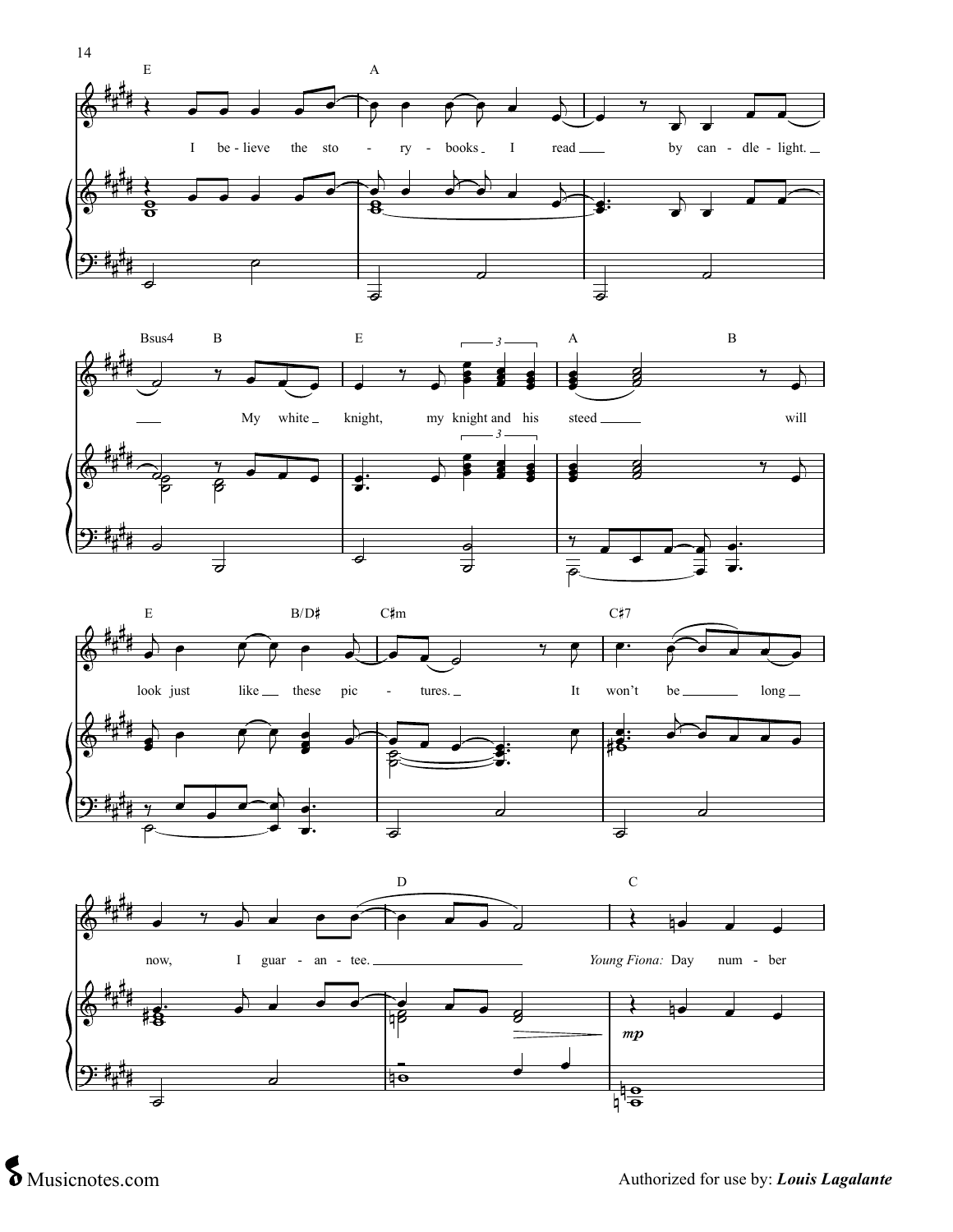





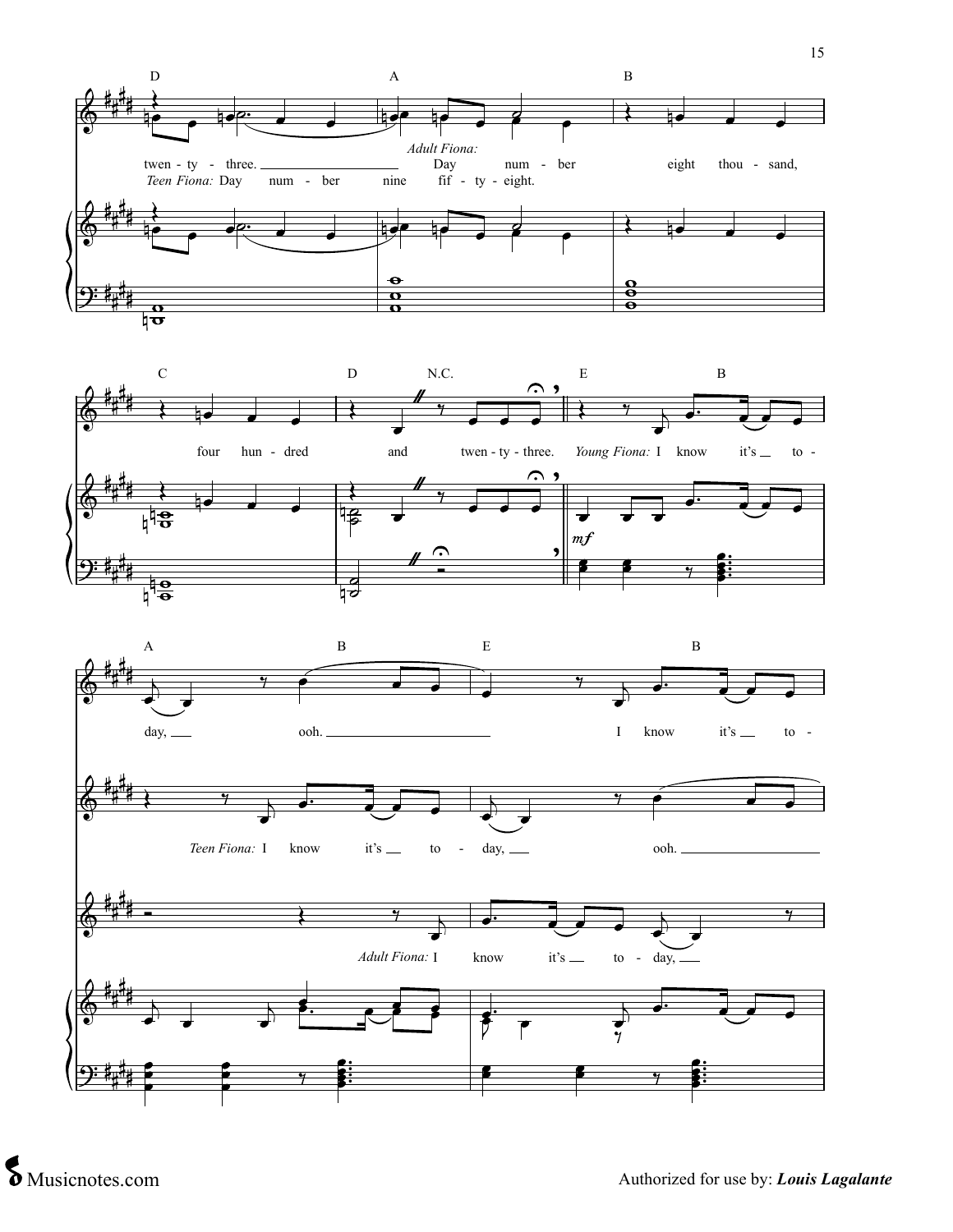